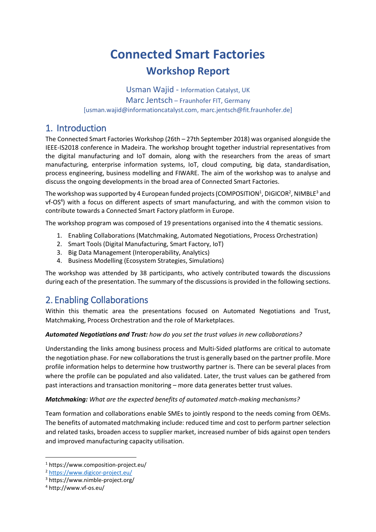# **Connected Smart Factories Workshop Report**

Usman Wajid - Information Catalyst, UK Marc Jentsch – Fraunhofer FIT, Germany [\[usman.wajid@informationcatalyst.com,](mailto:usman.wajid@informationcatalyst.com) marc.jentsch@fit.fraunhofer.de]

# 1. Introduction

The Connected Smart Factories Workshop (26th – 27th September 2018) was organised alongside the IEEE-IS2018 conference in Madeira. The workshop brought together industrial representatives from the digital manufacturing and IoT domain, along with the researchers from the areas of smart manufacturing, enterprise information systems, IoT, cloud computing, big data, standardisation, process engineering, business modelling and FIWARE. The aim of the workshop was to analyse and discuss the ongoing developments in the broad area of Connected Smart Factories.

The workshop was supported by 4 European funded projects (COMPOSITION<sup>1</sup>, DIGICOR<sup>2</sup>, NIMBLE<sup>3</sup> and vf-OS<sup>4</sup>) with a focus on different aspects of smart manufacturing, and with the common vision to contribute towards a Connected Smart Factory platform in Europe.

The workshop program was composed of 19 presentations organised into the 4 thematic sessions.

- 1. Enabling Collaborations (Matchmaking, Automated Negotiations, Process Orchestration)
- 2. Smart Tools (Digital Manufacturing, Smart Factory, IoT)
- 3. Big Data Management (Interoperability, Analytics)
- 4. Business Modelling (Ecosystem Strategies, Simulations)

The workshop was attended by 38 participants, who actively contributed towards the discussions during each of the presentation. The summary of the discussions is provided in the following sections.

# 2. Enabling Collaborations

Within this thematic area the presentations focused on Automated Negotiations and Trust, Matchmaking, Process Orchestration and the role of Marketplaces.

#### *Automated Negotiations and Trust: how do you set the trust values in new collaborations?*

Understanding the links among business process and Multi-Sided platforms are critical to automate the negotiation phase. For new collaborations the trust is generally based on the partner profile. More profile information helps to determine how trustworthy partner is. There can be several places from where the profile can be populated and also validated. Later, the trust values can be gathered from past interactions and transaction monitoring – more data generates better trust values.

#### *Matchmaking: What are the expected benefits of automated match-making mechanisms?*

Team formation and collaborations enable SMEs to jointly respond to the needs coming from OEMs. The benefits of automated matchmaking include: reduced time and cost to perform partner selection and related tasks, broaden access to supplier market, increased number of bids against open tenders and improved manufacturing capacity utilisation.

1

<sup>1</sup> https://www.composition-project.eu/

<sup>2</sup> <https://www.digicor-project.eu/>

<sup>3</sup> https://www.nimble-project.org/

<sup>4</sup> http://www.vf-os.eu/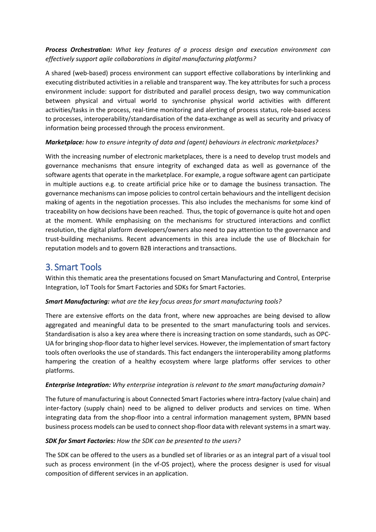*Process Orchestration: What key features of a process design and execution environment can effectively support agile collaborations in digital manufacturing platforms?*

A shared (web-based) process environment can support effective collaborations by interlinking and executing distributed activities in a reliable and transparent way. The key attributes for such a process environment include: support for distributed and parallel process design, two way communication between physical and virtual world to synchronise physical world activities with different activities/tasks in the process, real-time monitoring and alerting of process status, role-based access to processes, interoperability/standardisation of the data-exchange as well as security and privacy of information being processed through the process environment.

#### *Marketplace: how to ensure integrity of data and (agent) behaviours in electronic marketplaces?*

With the increasing number of electronic marketplaces, there is a need to develop trust models and governance mechanisms that ensure integrity of exchanged data as well as governance of the software agents that operate in the marketplace. For example, a rogue software agent can participate in multiple auctions e.g. to create artificial price hike or to damage the business transaction. The governance mechanisms can impose policies to control certain behaviours and the intelligent decision making of agents in the negotiation processes. This also includes the mechanisms for some kind of traceability on how decisions have been reached. Thus, the topic of governance is quite hot and open at the moment. While emphasising on the mechanisms for structured interactions and conflict resolution, the digital platform developers/owners also need to pay attention to the governance and trust-building mechanisms. Recent advancements in this area include the use of Blockchain for reputation models and to govern B2B interactions and transactions.

### 3. Smart Tools

Within this thematic area the presentations focused on Smart Manufacturing and Control, Enterprise Integration, IoT Tools for Smart Factories and SDKs for Smart Factories.

#### *Smart Manufacturing: what are the key focus areas for smart manufacturing tools?*

There are extensive efforts on the data front, where new approaches are being devised to allow aggregated and meaningful data to be presented to the smart manufacturing tools and services. Standardisation is also a key area where there is increasing traction on some standards, such as OPC-UA for bringing shop-floor data to higher level services. However, the implementation of smart factory tools often overlooks the use of standards. This fact endangers the iinteroperability among platforms hampering the creation of a healthy ecosystem where large platforms offer services to other platforms.

#### *Enterprise Integration: Why enterprise integration is relevant to the smart manufacturing domain?*

The future of manufacturing is about Connected Smart Factories where intra-factory (value chain) and inter-factory (supply chain) need to be aligned to deliver products and services on time. When integrating data from the shop-floor into a central information management system, BPMN based business process models can be used to connect shop-floor data with relevant systemsin a smart way.

#### *SDK for Smart Factories: How the SDK can be presented to the users?*

The SDK can be offered to the users as a bundled set of libraries or as an integral part of a visual tool such as process environment (in the vf-OS project), where the process designer is used for visual composition of different services in an application.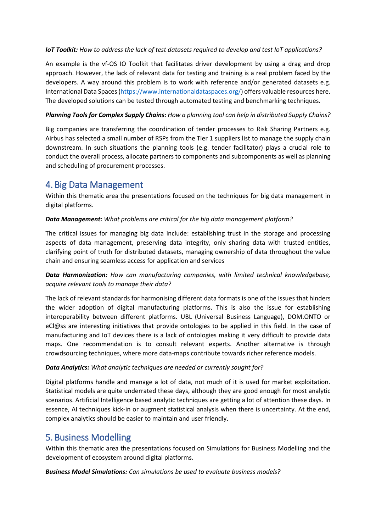#### *IoT Toolkit: How to address the lack of test datasets required to develop and test IoT applications?*

An example is the vf-OS IO Toolkit that facilitates driver development by using a drag and drop approach. However, the lack of relevant data for testing and training is a real problem faced by the developers. A way around this problem is to work with reference and/or generated datasets e.g. International Data Spaces [\(https://www.internationaldataspaces.org/\)](https://www.internationaldataspaces.org/) offers valuable resources here. The developed solutions can be tested through automated testing and benchmarking techniques.

#### *Planning Tools for Complex Supply Chains: How a planning tool can help in distributed Supply Chains?*

Big companies are transferring the coordination of tender processes to Risk Sharing Partners e.g. Airbus has selected a small number of RSPs from the Tier 1 suppliers list to manage the supply chain downstream. In such situations the planning tools (e.g. tender facilitator) plays a crucial role to conduct the overall process, allocate partners to components and subcomponents as well as planning and scheduling of procurement processes.

# 4. Big Data Management

Within this thematic area the presentations focused on the techniques for big data management in digital platforms.

#### *Data Management: What problems are critical for the big data management platform?*

The critical issues for managing big data include: establishing trust in the storage and processing aspects of data management, preserving data integrity, only sharing data with trusted entities, clarifying point of truth for distributed datasets, managing ownership of data throughout the value chain and ensuring seamless access for application and services

#### *Data Harmonization: How can manufacturing companies, with limited technical knowledgebase, acquire relevant tools to manage their data?*

The lack of relevant standards for harmonising different data formats is one of the issues that hinders the wider adoption of digital manufacturing platforms. This is also the issue for establishing interoperability between different platforms. UBL (Universal Business Language), DOM.ONTO or eCl@ss are interesting initiatives that provide ontologies to be applied in this field. In the case of manufacturing and IoT devices there is a lack of ontologies making it very difficult to provide data maps. One recommendation is to consult relevant experts. Another alternative is through crowdsourcing techniques, where more data-maps contribute towards richer reference models.

#### *Data Analytics: What analytic techniques are needed or currently sought for?*

Digital platforms handle and manage a lot of data, not much of it is used for market exploitation. Statistical models are quite underrated these days, although they are good enough for most analytic scenarios. Artificial Intelligence based analytic techniques are getting a lot of attention these days. In essence, AI techniques kick-in or augment statistical analysis when there is uncertainty. At the end, complex analytics should be easier to maintain and user friendly.

# 5. Business Modelling

Within this thematic area the presentations focused on Simulations for Business Modelling and the development of ecosystem around digital platforms.

#### *Business Model Simulations: Can simulations be used to evaluate business models?*